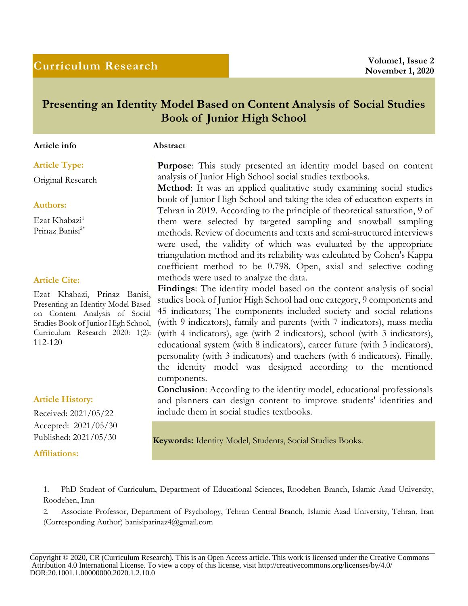# **Curriculum Research Volume1, Issue 2**

# **Presenting an Identity Model Based on Content Analysis of Social Studies Book of Junior High School**

### **Article info Abstract**

Original Research

## **Authors:**

Ezat Khabazi<sup>1</sup> Prinaz Banisi2\*

# **Article Cite:**

Ezat Khabazi, Prinaz Banisi, Presenting an Identity Model Based on Content Analysis of Social Studies Book of Junior High School, Curriculum Research 2020: 1(2): 112-120

# **Article History:**

Received: 2021/05/22 Accepted: 2021/05/30

**Affiliations:**

**Article Type: Purpose:** This study presented an identity model based on content analysis of Junior High School social studies textbooks.

> **Method**: It was an applied qualitative study examining social studies book of Junior High School and taking the idea of education experts in Tehran in 2019. According to the principle of theoretical saturation, 9 of them were selected by targeted sampling and snowball sampling methods. Review of documents and texts and semi-structured interviews were used, the validity of which was evaluated by the appropriate triangulation method and its reliability was calculated by Cohen's Kappa coefficient method to be 0.798. Open, axial and selective coding methods were used to analyze the data.

> **Findings**: The identity model based on the content analysis of social studies book of Junior High School had one category, 9 components and 45 indicators; The components included society and social relations (with 9 indicators), family and parents (with 7 indicators), mass media (with 4 indicators), age (with 2 indicators), school (with 3 indicators), educational system (with 8 indicators), career future (with 3 indicators), personality (with 3 indicators) and teachers (with 6 indicators). Finally, the identity model was designed according to the mentioned components.

> **Conclusion**: According to the identity model, educational professionals and planners can design content to improve students' identities and include them in social studies textbooks.

Published: 2021/05/30 **Keywords:** Identity Model, Students, Social Studies Books.

1. PhD Student of Curriculum, Department of Educational Sciences, Roodehen Branch, Islamic Azad University, Roodehen, Iran

2. Associate Professor, Department of Psychology, Tehran Central Branch, Islamic Azad University, Tehran, Iran (Corresponding Author) banisiparinaz4@gmail.com

Copyright © 2020, CR (Curriculum Research). This is an Open Access article. This work is licensed under the Creative Commons Attribution 4.0 International License. To view a copy of this license, visit http://creativecommons.org/licenses/by/4.0/ DOR:20.1001.1.00000000.2020.1.2.10.0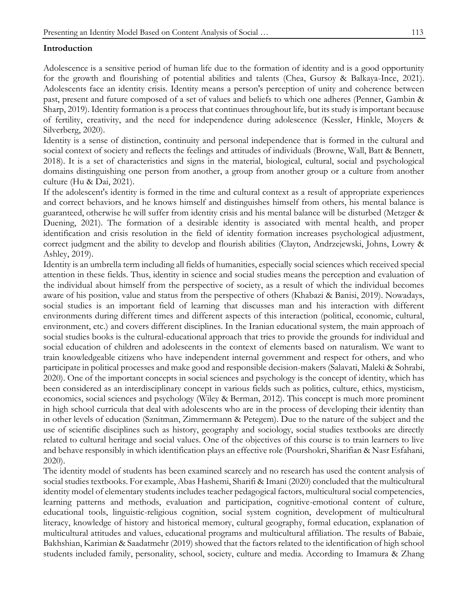# **Introduction**

Adolescence is a sensitive period of human life due to the formation of identity and is a good opportunity for the growth and flourishing of potential abilities and talents (Chea, Gursoy & Balkaya-Ince, 2021). Adolescents face an identity crisis. Identity means a person's perception of unity and coherence between past, present and future composed of a set of values and beliefs to which one adheres (Penner, Gambin & Sharp, 2019). Identity formation is a process that continues throughout life, but its study is important because of fertility, creativity, and the need for independence during adolescence (Kessler, Hinkle, Moyers & Silverberg, 2020).

Identity is a sense of distinction, continuity and personal independence that is formed in the cultural and social context of society and reflects the feelings and attitudes of individuals (Browne, Wall, Batt & Bennett, 2018). It is a set of characteristics and signs in the material, biological, cultural, social and psychological domains distinguishing one person from another, a group from another group or a culture from another culture (Hu & Dai, 2021).

If the adolescent's identity is formed in the time and cultural context as a result of appropriate experiences and correct behaviors, and he knows himself and distinguishes himself from others, his mental balance is guaranteed, otherwise he will suffer from identity crisis and his mental balance will be disturbed (Metzger & Duening, 2021). The formation of a desirable identity is associated with mental health, and proper identification and crisis resolution in the field of identity formation increases psychological adjustment, correct judgment and the ability to develop and flourish abilities (Clayton, Andrzejewski, Johns, Lowry & Ashley, 2019).

Identity is an umbrella term including all fields of humanities, especially social sciences which received special attention in these fields. Thus, identity in science and social studies means the perception and evaluation of the individual about himself from the perspective of society, as a result of which the individual becomes aware of his position, value and status from the perspective of others (Khabazi & Banisi, 2019). Nowadays, social studies is an important field of learning that discusses man and his interaction with different environments during different times and different aspects of this interaction (political, economic, cultural, environment, etc.) and covers different disciplines. In the Iranian educational system, the main approach of social studies books is the cultural-educational approach that tries to provide the grounds for individual and social education of children and adolescents in the context of elements based on naturalism. We want to train knowledgeable citizens who have independent internal government and respect for others, and who participate in political processes and make good and responsible decision-makers (Salavati, Maleki & Sohrabi, 2020). One of the important concepts in social sciences and psychology is the concept of identity, which has been considered as an interdisciplinary concept in various fields such as politics, culture, ethics, mysticism, economics, social sciences and psychology (Wiley & Berman, 2012). This concept is much more prominent in high school curricula that deal with adolescents who are in the process of developing their identity than in other levels of education (Sznitman, Zimmermann & Petegem). Due to the nature of the subject and the use of scientific disciplines such as history, geography and sociology, social studies textbooks are directly related to cultural heritage and social values. One of the objectives of this course is to train learners to live and behave responsibly in which identification plays an effective role (Pourshokri, Sharifian & Nasr Esfahani, 2020).

The identity model of students has been examined scarcely and no research has used the content analysis of social studies textbooks. For example, Abas Hashemi, Sharifi & Imani (2020) concluded that the multicultural identity model of elementary students includes teacher pedagogical factors, multicultural social competencies, learning patterns and methods, evaluation and participation, cognitive-emotional content of culture, educational tools, linguistic-religious cognition, social system cognition, development of multicultural literacy, knowledge of history and historical memory, cultural geography, formal education, explanation of multicultural attitudes and values, educational programs and multicultural affiliation. The results of Babaie, Bakhshian, Karimian & Saadatmehr (2019) showed that the factors related to the identification of high school students included family, personality, school, society, culture and media. According to Imamura & Zhang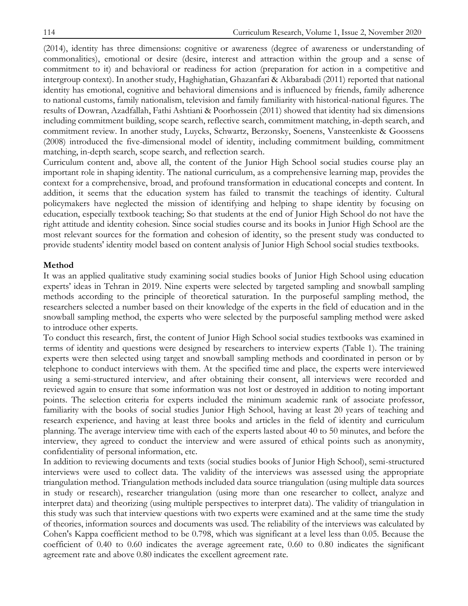(2014), identity has three dimensions: cognitive or awareness (degree of awareness or understanding of commonalities), emotional or desire (desire, interest and attraction within the group and a sense of commitment to it) and behavioral or readiness for action (preparation for action in a competitive and intergroup context). In another study, Haghighatian, Ghazanfari & Akbarabadi (2011) reported that national identity has emotional, cognitive and behavioral dimensions and is influenced by friends, family adherence to national customs, family nationalism, television and family familiarity with historical-national figures. The results of Dowran, Azadfallah, Fathi Ashtiani & Poorhossein (2011) showed that identity had six dimensions including commitment building, scope search, reflective search, commitment matching, in-depth search, and commitment review. In another study, Luycks, Schwartz, Berzonsky, Soenens, Vansteenkiste & Goossens (2008) introduced the five-dimensional model of identity, including commitment building, commitment matching, in-depth search, scope search, and reflection search.

Curriculum content and, above all, the content of the Junior High School social studies course play an important role in shaping identity. The national curriculum, as a comprehensive learning map, provides the context for a comprehensive, broad, and profound transformation in educational concepts and content. In addition, it seems that the education system has failed to transmit the teachings of identity. Cultural policymakers have neglected the mission of identifying and helping to shape identity by focusing on education, especially textbook teaching; So that students at the end of Junior High School do not have the right attitude and identity cohesion. Since social studies course and its books in Junior High School are the most relevant sources for the formation and cohesion of identity, so the present study was conducted to provide students' identity model based on content analysis of Junior High School social studies textbooks.

#### **Method**

It was an applied qualitative study examining social studies books of Junior High School using education experts' ideas in Tehran in 2019. Nine experts were selected by targeted sampling and snowball sampling methods according to the principle of theoretical saturation. In the purposeful sampling method, the researchers selected a number based on their knowledge of the experts in the field of education and in the snowball sampling method, the experts who were selected by the purposeful sampling method were asked to introduce other experts.

To conduct this research, first, the content of Junior High School social studies textbooks was examined in terms of identity and questions were designed by researchers to interview experts (Table 1). The training experts were then selected using target and snowball sampling methods and coordinated in person or by telephone to conduct interviews with them. At the specified time and place, the experts were interviewed using a semi-structured interview, and after obtaining their consent, all interviews were recorded and reviewed again to ensure that some information was not lost or destroyed in addition to noting important points. The selection criteria for experts included the minimum academic rank of associate professor, familiarity with the books of social studies Junior High School, having at least 20 years of teaching and research experience, and having at least three books and articles in the field of identity and curriculum planning. The average interview time with each of the experts lasted about 40 to 50 minutes, and before the interview, they agreed to conduct the interview and were assured of ethical points such as anonymity, confidentiality of personal information, etc.

In addition to reviewing documents and texts (social studies books of Junior High School), semi-structured interviews were used to collect data. The validity of the interviews was assessed using the appropriate triangulation method. Triangulation methods included data source triangulation (using multiple data sources in study or research), researcher triangulation (using more than one researcher to collect, analyze and interpret data) and theorizing (using multiple perspectives to interpret data). The validity of triangulation in this study was such that interview questions with two experts were examined and at the same time the study of theories, information sources and documents was used. The reliability of the interviews was calculated by Cohen's Kappa coefficient method to be 0.798, which was significant at a level less than 0.05. Because the coefficient of 0.40 to 0.60 indicates the average agreement rate, 0.60 to 0.80 indicates the significant agreement rate and above 0.80 indicates the excellent agreement rate.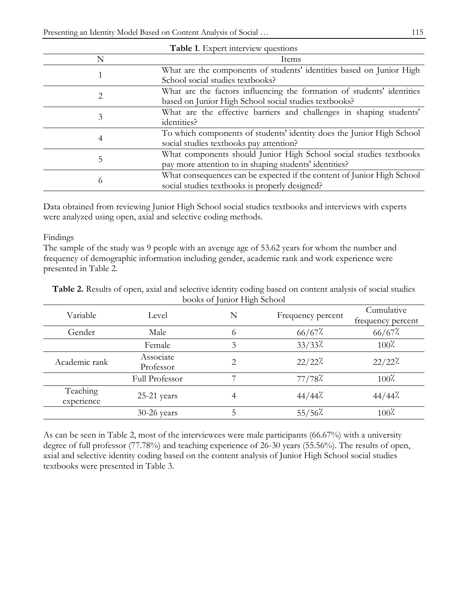| Table 1. Expert interview questions |                                                                        |  |  |
|-------------------------------------|------------------------------------------------------------------------|--|--|
| N                                   | Items                                                                  |  |  |
|                                     | What are the components of students' identities based on Junior High   |  |  |
|                                     | School social studies textbooks?                                       |  |  |
| 2                                   | What are the factors influencing the formation of students' identities |  |  |
|                                     | based on Junior High School social studies textbooks?                  |  |  |
|                                     | What are the effective barriers and challenges in shaping students'    |  |  |
| 3                                   | identities?                                                            |  |  |
| 4                                   | To which components of students' identity does the Junior High School  |  |  |
|                                     | social studies textbooks pay attention?                                |  |  |
| 5                                   | What components should Junior High School social studies textbooks     |  |  |
|                                     | pay more attention to in shaping students' identities?                 |  |  |
|                                     | What consequences can be expected if the content of Junior High School |  |  |
| 6                                   | social studies textbooks is properly designed?                         |  |  |

Data obtained from reviewing Junior High School social studies textbooks and interviews with experts were analyzed using open, axial and selective coding methods.

Findings

The sample of the study was 9 people with an average age of 53.62 years for whom the number and frequency of demographic information including gender, academic rank and work experience were presented in Table 2.

| DOONS OF JULIOL FIIGHT OCHOOL |                        |   |                   |                                 |
|-------------------------------|------------------------|---|-------------------|---------------------------------|
| Variable                      | Level                  | N | Frequency percent | Cumulative<br>frequency percent |
| Gender                        | Male                   | 6 | $66/67$ %         | $66/67$ %                       |
|                               | Female                 | 3 | $33/33$ %         | $100\%$                         |
| Academic rank                 | Associate<br>Professor | 2 | $22/22$ %         | 22/22?                          |
|                               | Full Professor         |   | 77/78             | $100\%$                         |
| Teaching<br>experience        | 25-21 years            |   | $44/44$ .         | $44/44$ .                       |
|                               | $30-26$ years          |   | $55/56$ %         | $100\%$                         |

**Table 2.** Results of open, axial and selective identity coding based on content analysis of social studies books of Junior High School

As can be seen in Table 2, most of the interviewees were male participants (66.67%) with a university degree of full professor (77.78%) and teaching experience of 26-30 years (55.56%). The results of open, axial and selective identity coding based on the content analysis of Junior High School social studies textbooks were presented in Table 3.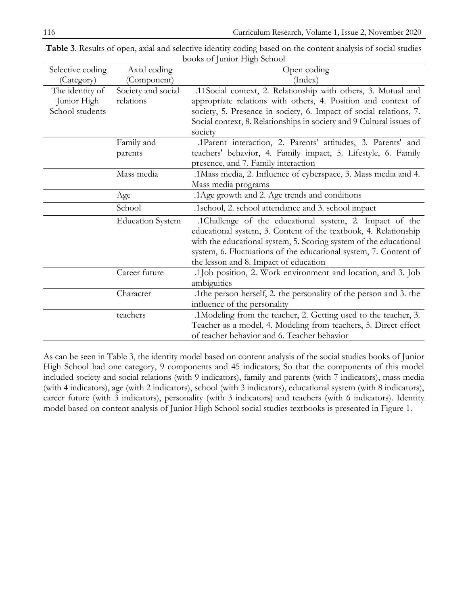| Selective coding | Axial coding            | Open coding                                                          |
|------------------|-------------------------|----------------------------------------------------------------------|
| (Category)       | (Component)             | (Index)                                                              |
| The identity of  | Society and social      | .11Social context, 2. Relationship with others, 3. Mutual and        |
| Junior High      | relations               | appropriate relations with others, 4. Position and context of        |
| School students  |                         | society, 5. Presence in society, 6. Impact of social relations, 7.   |
|                  |                         | Social context, 8. Relationships in society and 9 Cultural issues of |
|                  |                         | society                                                              |
|                  | Family and              | .1Parent interaction, 2. Parents' attitudes, 3. Parents' and         |
|                  | parents                 | teachers' behavior, 4. Family impact, 5. Lifestyle, 6. Family        |
|                  |                         | presence, and 7. Family interaction                                  |
|                  | Mass media              | .1 Mass media, 2. Influence of cyberspace, 3. Mass media and 4.      |
|                  |                         | Mass media programs                                                  |
|                  | Age                     | .1 Age growth and 2. Age trends and conditions                       |
|                  | School                  | .1school, 2. school attendance and 3. school impact                  |
|                  | <b>Education System</b> | .1Challenge of the educational system, 2. Impact of the              |
|                  |                         | educational system, 3. Content of the textbook, 4. Relationship      |
|                  |                         | with the educational system, 5. Scoring system of the educational    |
|                  |                         | system, 6. Fluctuations of the educational system, 7. Content of     |
|                  |                         | the lesson and 8. Impact of education                                |
|                  | Career future           | .1Job position, 2. Work environment and location, and 3. Job         |
|                  |                         | ambiguities                                                          |
|                  | Character               | .1the person herself, 2. the personality of the person and 3. the    |
|                  |                         | influence of the personality                                         |
|                  | teachers                | .1 Modeling from the teacher, 2. Getting used to the teacher, 3.     |
|                  |                         | Teacher as a model, 4. Modeling from teachers, 5. Direct effect      |
|                  |                         | of teacher behavior and 6. Teacher behavior                          |

**Table 3**. Results of open, axial and selective identity coding based on the content analysis of social studies books of Junior High School

As can be seen in Table 3, the identity model based on content analysis of the social studies books of Junior High School had one category, 9 components and 45 indicators; So that the components of this model included society and social relations (with 9 indicators), family and parents (with 7 indicators), mass media (with 4 indicators), age (with 2 indicators), school (with 3 indicators), educational system (with 8 indicators), career future (with 3 indicators), personality (with 3 indicators) and teachers (with 6 indicators). Identity model based on content analysis of Junior High School social studies textbooks is presented in Figure 1.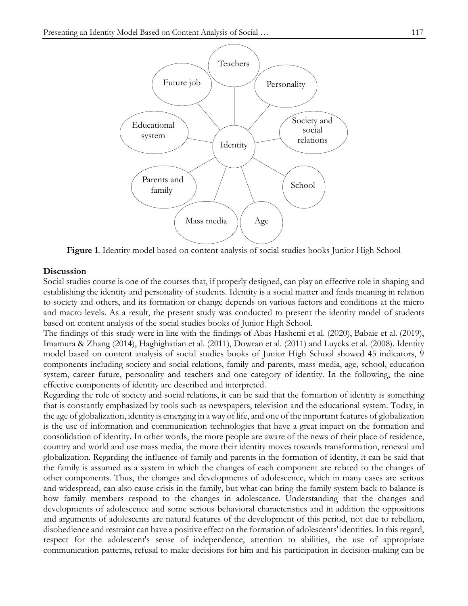

**Figure 1**. Identity model based on content analysis of social studies books Junior High School

#### **Discussion**

Social studies course is one of the courses that, if properly designed, can play an effective role in shaping and establishing the identity and personality of students. Identity is a social matter and finds meaning in relation to society and others, and its formation or change depends on various factors and conditions at the micro and macro levels. As a result, the present study was conducted to present the identity model of students based on content analysis of the social studies books of Junior High School.

The findings of this study were in line with the findings of Abas Hashemi et al. (2020), Babaie et al. (2019), Imamura & Zhang (2014), Haghighatian et al. (2011), Dowran et al. (2011) and Luycks et al. (2008). Identity model based on content analysis of social studies books of Junior High School showed 45 indicators, 9 components including society and social relations, family and parents, mass media, age, school, education system, career future, personality and teachers and one category of identity. In the following, the nine effective components of identity are described and interpreted.

Regarding the role of society and social relations, it can be said that the formation of identity is something that is constantly emphasized by tools such as newspapers, television and the educational system. Today, in the age of globalization, identity is emerging in a way of life, and one of the important features of globalization is the use of information and communication technologies that have a great impact on the formation and consolidation of identity. In other words, the more people are aware of the news of their place of residence, country and world and use mass media, the more their identity moves towards transformation, renewal and globalization. Regarding the influence of family and parents in the formation of identity, it can be said that the family is assumed as a system in which the changes of each component are related to the changes of other components. Thus, the changes and developments of adolescence, which in many cases are serious and widespread, can also cause crisis in the family, but what can bring the family system back to balance is how family members respond to the changes in adolescence. Understanding that the changes and developments of adolescence and some serious behavioral characteristics and in addition the oppositions and arguments of adolescents are natural features of the development of this period, not due to rebellion, disobedience and restraint can have a positive effect on the formation of adolescents' identities. In this regard, respect for the adolescent's sense of independence, attention to abilities, the use of appropriate communication patterns, refusal to make decisions for him and his participation in decision-making can be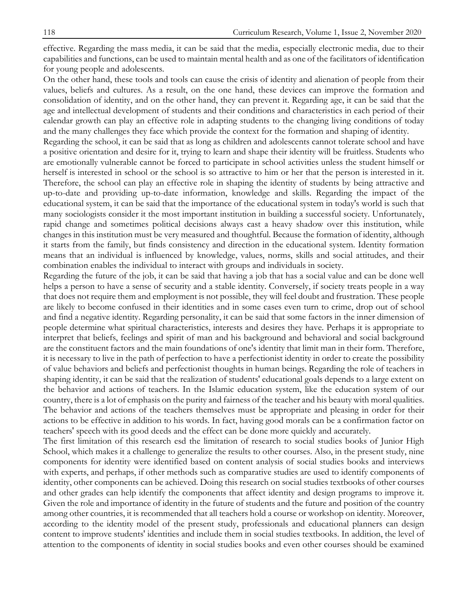effective. Regarding the mass media, it can be said that the media, especially electronic media, due to their capabilities and functions, can be used to maintain mental health and as one of the facilitators of identification for young people and adolescents.

On the other hand, these tools and tools can cause the crisis of identity and alienation of people from their values, beliefs and cultures. As a result, on the one hand, these devices can improve the formation and consolidation of identity, and on the other hand, they can prevent it. Regarding age, it can be said that the age and intellectual development of students and their conditions and characteristics in each period of their calendar growth can play an effective role in adapting students to the changing living conditions of today and the many challenges they face which provide the context for the formation and shaping of identity.

Regarding the school, it can be said that as long as children and adolescents cannot tolerate school and have a positive orientation and desire for it, trying to learn and shape their identity will be fruitless. Students who are emotionally vulnerable cannot be forced to participate in school activities unless the student himself or herself is interested in school or the school is so attractive to him or her that the person is interested in it. Therefore, the school can play an effective role in shaping the identity of students by being attractive and up-to-date and providing up-to-date information, knowledge and skills. Regarding the impact of the educational system, it can be said that the importance of the educational system in today's world is such that many sociologists consider it the most important institution in building a successful society. Unfortunately, rapid change and sometimes political decisions always cast a heavy shadow over this institution, while changes in this institution must be very measured and thoughtful. Because the formation of identity, although it starts from the family, but finds consistency and direction in the educational system. Identity formation means that an individual is influenced by knowledge, values, norms, skills and social attitudes, and their combination enables the individual to interact with groups and individuals in society.

Regarding the future of the job, it can be said that having a job that has a social value and can be done well helps a person to have a sense of security and a stable identity. Conversely, if society treats people in a way that does not require them and employment is not possible, they will feel doubt and frustration. These people are likely to become confused in their identities and in some cases even turn to crime, drop out of school and find a negative identity. Regarding personality, it can be said that some factors in the inner dimension of people determine what spiritual characteristics, interests and desires they have. Perhaps it is appropriate to interpret that beliefs, feelings and spirit of man and his background and behavioral and social background are the constituent factors and the main foundations of one's identity that limit man in their form. Therefore, it is necessary to live in the path of perfection to have a perfectionist identity in order to create the possibility of value behaviors and beliefs and perfectionist thoughts in human beings. Regarding the role of teachers in shaping identity, it can be said that the realization of students' educational goals depends to a large extent on the behavior and actions of teachers. In the Islamic education system, like the education system of our country, there is a lot of emphasis on the purity and fairness of the teacher and his beauty with moral qualities. The behavior and actions of the teachers themselves must be appropriate and pleasing in order for their actions to be effective in addition to his words. In fact, having good morals can be a confirmation factor on teachers' speech with its good deeds and the effect can be done more quickly and accurately.

The first limitation of this research esd the limitation of research to social studies books of Junior High School, which makes it a challenge to generalize the results to other courses. Also, in the present study, nine components for identity were identified based on content analysis of social studies books and interviews with experts, and perhaps, if other methods such as comparative studies are used to identify components of identity, other components can be achieved. Doing this research on social studies textbooks of other courses and other grades can help identify the components that affect identity and design programs to improve it. Given the role and importance of identity in the future of students and the future and position of the country among other countries, it is recommended that all teachers hold a course or workshop on identity. Moreover, according to the identity model of the present study, professionals and educational planners can design content to improve students' identities and include them in social studies textbooks. In addition, the level of attention to the components of identity in social studies books and even other courses should be examined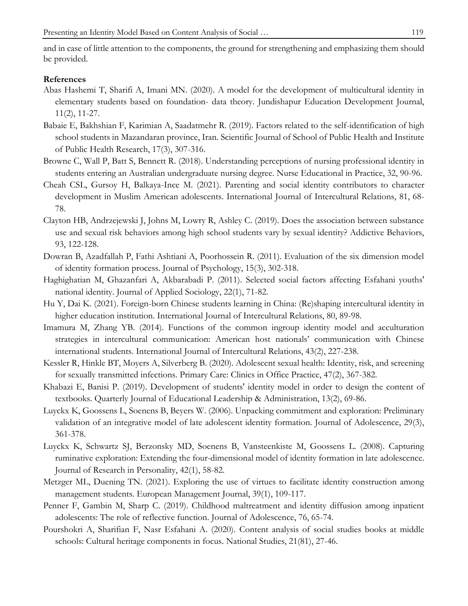#### **References**

- Abas Hashemi T, Sharifi A, Imani MN. (2020). A model for the development of multicultural identity in elementary students based on foundation- data theory. Jundishapur Education Development Journal, 11(2), 11-27.
- Babaie E, Bakhshian F, Karimian A, Saadatmehr R. (2019). Factors related to the self-identification of high school students in Mazandaran province, Iran. Scientific Journal of School of Public Health and Institute of Public Health Research, 17(3), 307-316.
- Browne C, Wall P, Batt S, Bennett R. (2018). Understanding perceptions of nursing professional identity in students entering an Australian undergraduate nursing degree. Nurse Educational in Practice, 32, 90-96.
- Cheah CSL, Gursoy H, Balkaya-Ince M. (2021). Parenting and social identity contributors to character development in Muslim American adolescents. International Journal of Intercultural Relations, 81, 68- 78.
- Clayton HB, Andrzejewski J, Johns M, Lowry R, Ashley C. (2019). Does the association between substance use and sexual risk behaviors among high school students vary by sexual identity? Addictive Behaviors, 93, 122-128.
- Dowran B, Azadfallah P, Fathi Ashtiani A, Poorhossein R. (2011). Evaluation of the six dimension model of identity formation process. Journal of Psychology, 15(3), 302-318.
- Haghighatian M, Ghazanfari A, Akbarabadi P. (2011). [Selected social factors affecting Esfahani youths'](https://jas.ui.ac.ir/article_18216_7394585d25ad6fb3fbb1e226a9113d74.pdf?lang=en)  [national identity.](https://jas.ui.ac.ir/article_18216_7394585d25ad6fb3fbb1e226a9113d74.pdf?lang=en) Journal of Applied Sociology, 22(1), 71-82.
- Hu Y, Dai K. (2021). Foreign-born Chinese students learning in China: (Re)shaping intercultural identity in higher education institution. International Journal of Intercultural Relations, 80, 89-98.
- Imamura M, Zhang YB. (2014). Functions of the common ingroup identity model and acculturation strategies in intercultural communication: American host nationals' communication with Chinese international students. International Journal of Intercultural Relations, 43(2), 227-238.
- Kessler R, Hinkle BT, Moyers A, Silverberg B. (2020). Adolescent sexual health: Identity, risk, and screening for sexually transmitted infections. Primary Care: Clinics in Office Practice, 47(2), 367-382.
- Khabazi E, Banisi P. (2019). Development of students' identity model in order to design the content of textbooks. Quarterly Journal of Educational Leadership & Administration, 13(2), 69-86.
- Luyckx K, Goossens L, Soenens B, Beyers W. (2006). Unpacking commitment and exploration: Preliminary validation of an integrative model of late adolescent identity formation. Journal of Adolescence, 29(3), 361-378.
- Luyckx K, Schwartz SJ, Berzonsky MD, Soenens B, Vansteenkiste M, Goossens L. (2008). Capturing ruminative exploration: Extending the four-dimensional model of identity formation in late adolescence. Journal of Research in Personality, 42(1), 58-82.
- Metzger ML, Duening TN. (2021). Exploring the use of virtues to facilitate identity construction among management students. European Management Journal, 39(1), 109-117.
- Penner F, Gambin M, Sharp C. (2019). Childhood maltreatment and identity diffusion among inpatient adolescents: The role of reflective function. Journal of Adolescence, 76, 65-74.
- Pourshokri A, Sharifian F, Nasr Esfahani A. (2020). [Content analysis of social studies books at middle](http://rjnsq.sinaweb.net/article_104617_ab5f66ae2fcdec049ec89e30368dc22f.pdf?lang=en)  [schools: Cultural heritage components in focus.](http://rjnsq.sinaweb.net/article_104617_ab5f66ae2fcdec049ec89e30368dc22f.pdf?lang=en) National Studies, 21(81), 27-46.